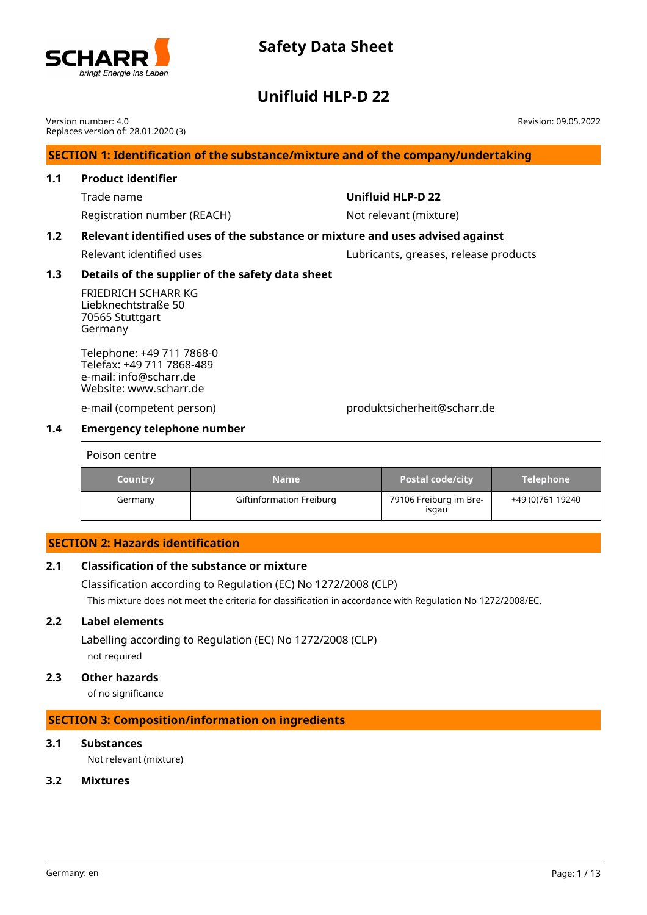

## **Unifluid HLP-D 22**

**SECTION 1: Identification of the substance/mixture and of the company/undertaking 1.1 Product identifier** Trade name **Unifluid HLP-D 22** Registration number (REACH) Not relevant (mixture) **1.2 Relevant identified uses of the substance or mixture and uses advised against** Relevant identified uses extending the Lubricants, greases, release products **1.3 Details of the supplier of the safety data sheet** FRIEDRICH SCHARR KG Liebknechtstraße 50 70565 Stuttgart Germany Telephone: +49 711 7868-0 Telefax: +49 711 7868-489 e-mail: info@scharr.de Website: www.scharr.de Version number: 4.0 Replaces version of: 28.01.2020 (3) Revision: 09.05.2022

e-mail (competent person) produktsicherheit@scharr.de

## **1.4 Emergency telephone number**

| Poison centre  |                          |                                 |                  |
|----------------|--------------------------|---------------------------------|------------------|
| <b>Country</b> | <b>Name</b>              | <b>Postal code/city</b>         | <b>Telephone</b> |
| Germany        | Giftinformation Freiburg | 79106 Freiburg im Bre-<br>isgau | +49 (0)761 19240 |

## **SECTION 2: Hazards identification**

## **2.1 Classification of the substance or mixture**

Classification according to Regulation (EC) No 1272/2008 (CLP) This mixture does not meet the criteria for classification in accordance with Regulation No 1272/2008/EC.

### **2.2 Label elements**

Labelling according to Regulation (EC) No 1272/2008 (CLP) not required

### **2.3 Other hazards**

of no significance

### **SECTION 3: Composition/information on ingredients**

### **3.1 Substances**

Not relevant (mixture)

### **3.2 Mixtures**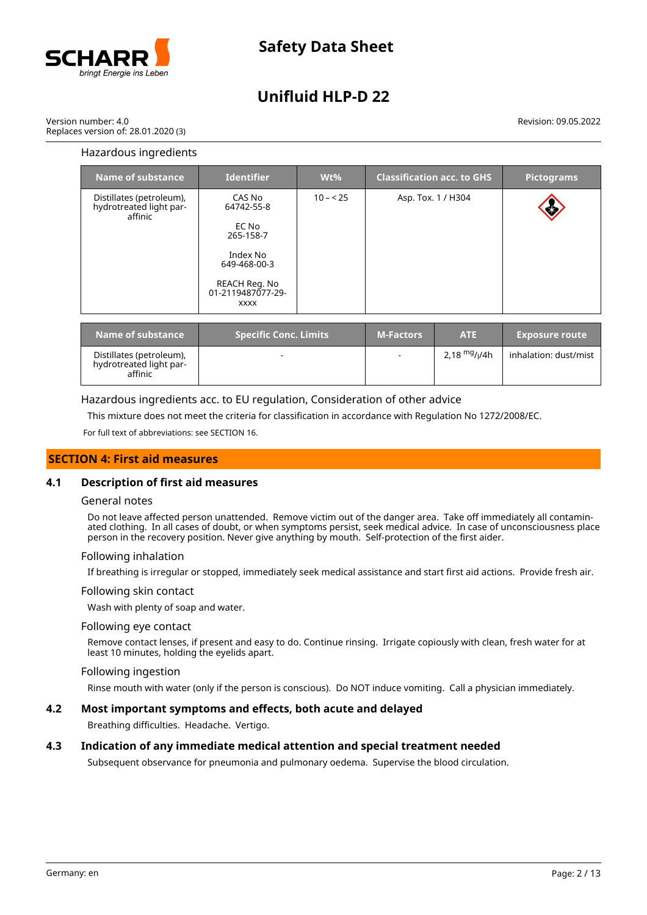

Version number: 4.0 Replaces version of: 28.01.2020 (3)

### Revision: 09.05.2022

### Hazardous ingredients

| Name of substance                                              | <b>Identifier</b>                                                                                                           | $Wt\%$    |                  | <b>Classification acc. to GHS</b> | <b>Pictograms</b>     |
|----------------------------------------------------------------|-----------------------------------------------------------------------------------------------------------------------------|-----------|------------------|-----------------------------------|-----------------------|
| Distillates (petroleum),<br>hydrotreated light par-<br>affinic | CAS No<br>64742-55-8<br>EC No<br>265-158-7<br>Index No<br>649-468-00-3<br>REACH Reg. No<br>01-2119487077-29-<br><b>XXXX</b> | $10 - 25$ |                  | Asp. Tox. 1 / H304                |                       |
| <b>Name of substance</b>                                       | <b>Specific Conc. Limits</b>                                                                                                |           | <b>M-Factors</b> | <b>ATE</b>                        | <b>Exposure route</b> |

| Name of substance                                              | <b>Specific Conc. Limits</b> | <b>M-Factors</b> | <b>ATE</b>     | <b>Exposure route</b> |
|----------------------------------------------------------------|------------------------------|------------------|----------------|-----------------------|
| Distillates (petroleum),<br>hydrotreated light par-<br>affinic |                              | $\sim$           | 2.18 $mg/1/4h$ | inhalation: dust/mist |

Hazardous ingredients acc. to EU regulation, Consideration of other advice

This mixture does not meet the criteria for classification in accordance with Regulation No 1272/2008/EC.

For full text of abbreviations: see SECTION 16.

### **SECTION 4: First aid measures**

### **4.1 Description of first aid measures**

### General notes

Do not leave affected person unattended. Remove victim out of the danger area. Take off immediately all contaminated clothing. In all cases of doubt, or when symptoms persist, seek medical advice. In case of unconsciousness place person in the recovery position. Never give anything by mouth. Self-protection of the first aider.

### Following inhalation

If breathing is irregular or stopped, immediately seek medical assistance and start first aid actions. Provide fresh air.

### Following skin contact

Wash with plenty of soap and water.

### Following eye contact

Remove contact lenses, if present and easy to do. Continue rinsing. Irrigate copiously with clean, fresh water for at least 10 minutes, holding the eyelids apart.

### Following ingestion

Rinse mouth with water (only if the person is conscious). Do NOT induce vomiting. Call a physician immediately.

### **4.2 Most important symptoms and effects, both acute and delayed**

Breathing difficulties. Headache. Vertigo.

### **4.3 Indication of any immediate medical attention and special treatment needed**

Subsequent observance for pneumonia and pulmonary oedema. Supervise the blood circulation.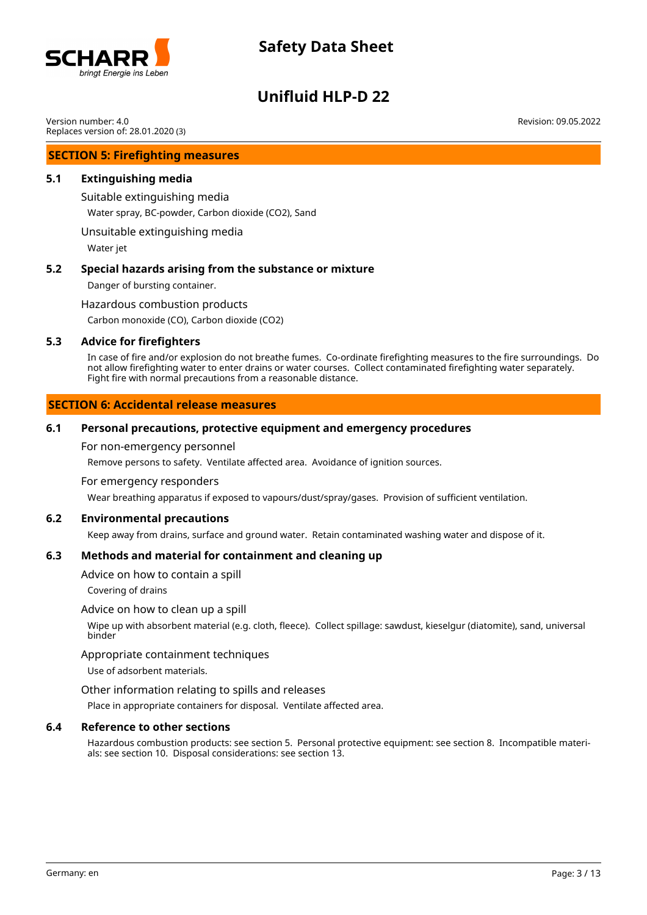

# **Unifluid HLP-D 22**

Version number: 4.0 Replaces version of: 28.01.2020 (3)

### **SECTION 5: Firefighting measures**

### **5.1 Extinguishing media**

Suitable extinguishing media

Water spray, BC-powder, Carbon dioxide (CO2), Sand

Unsuitable extinguishing media

Water jet

### **5.2 Special hazards arising from the substance or mixture**

Danger of bursting container.

### Hazardous combustion products

Carbon monoxide (CO), Carbon dioxide (CO2)

### **5.3 Advice for firefighters**

In case of fire and/or explosion do not breathe fumes. Co-ordinate firefighting measures to the fire surroundings. Do not allow firefighting water to enter drains or water courses. Collect contaminated firefighting water separately. Fight fire with normal precautions from a reasonable distance.

### **SECTION 6: Accidental release measures**

### **6.1 Personal precautions, protective equipment and emergency procedures**

For non-emergency personnel

Remove persons to safety. Ventilate affected area. Avoidance of ignition sources.

### For emergency responders

Wear breathing apparatus if exposed to vapours/dust/spray/gases. Provision of sufficient ventilation.

### **6.2 Environmental precautions**

Keep away from drains, surface and ground water. Retain contaminated washing water and dispose of it.

### **6.3 Methods and material for containment and cleaning up**

Advice on how to contain a spill

Covering of drains

### Advice on how to clean up a spill

Wipe up with absorbent material (e.g. cloth, fleece). Collect spillage: sawdust, kieselgur (diatomite), sand, universal binder

### Appropriate containment techniques

Use of adsorbent materials.

### Other information relating to spills and releases

Place in appropriate containers for disposal. Ventilate affected area.

### **6.4 Reference to other sections**

Hazardous combustion products: see section 5. Personal protective equipment: see section 8. Incompatible materials: see section 10. Disposal considerations: see section 13.

Revision: 09.05.2022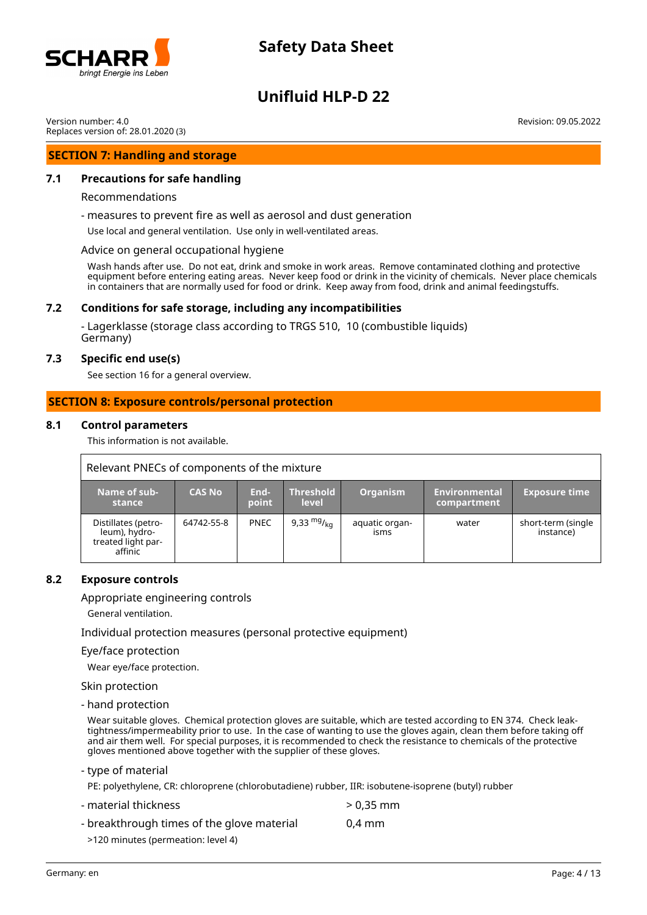

# **Unifluid HLP-D 22**

Version number: 4.0 Replaces version of: 28.01.2020 (3)

### **SECTION 7: Handling and storage**

### **7.1 Precautions for safe handling**

### Recommendations

- measures to prevent fire as well as aerosol and dust generation

Use local and general ventilation. Use only in well-ventilated areas.

Advice on general occupational hygiene

Wash hands after use. Do not eat, drink and smoke in work areas. Remove contaminated clothing and protective equipment before entering eating areas. Never keep food or drink in the vicinity of chemicals. Never place chemicals in containers that are normally used for food or drink. Keep away from food, drink and animal feedingstuffs.

### **7.2 Conditions for safe storage, including any incompatibilities**

- Lagerklasse (storage class according to TRGS 510, 10 (combustible liquids) Germany)

### **7.3 Specific end use(s)**

See section 16 for a general overview.

### **SECTION 8: Exposure controls/personal protection**

### **8.1 Control parameters**

This information is not available.

| Relevant PNECs of components of the mixture                           |               |               |                                  |                        |                              |                                 |  |
|-----------------------------------------------------------------------|---------------|---------------|----------------------------------|------------------------|------------------------------|---------------------------------|--|
| Name of sub-<br>stance                                                | <b>CAS No</b> | End-<br>point | <b>Threshold</b><br><b>level</b> | <b>Organism</b>        | Environmental<br>compartment | <b>Exposure time</b>            |  |
| Distillates (petro-<br>leum), hydro-<br>treated light par-<br>affinic | 64742-55-8    | <b>PNEC</b>   | 9,33 $mg/_{ka}$                  | aquatic organ-<br>isms | water                        | short-term (single<br>instance) |  |

### **8.2 Exposure controls**

### Appropriate engineering controls

General ventilation.

Individual protection measures (personal protective equipment)

### Eye/face protection

Wear eye/face protection.

Skin protection

### - hand protection

Wear suitable gloves. Chemical protection gloves are suitable, which are tested according to EN 374. Check leaktightness/impermeability prior to use. In the case of wanting to use the gloves again, clean them before taking off and air them well. For special purposes, it is recommended to check the resistance to chemicals of the protective gloves mentioned above together with the supplier of these gloves.

- type of material

PE: polyethylene, CR: chloroprene (chlorobutadiene) rubber, IIR: isobutene-isoprene (butyl) rubber

- material thickness > 0,35 mm

- breakthrough times of the glove material 0,4 mm
	- >120 minutes (permeation: level 4)

Revision: 09.05.2022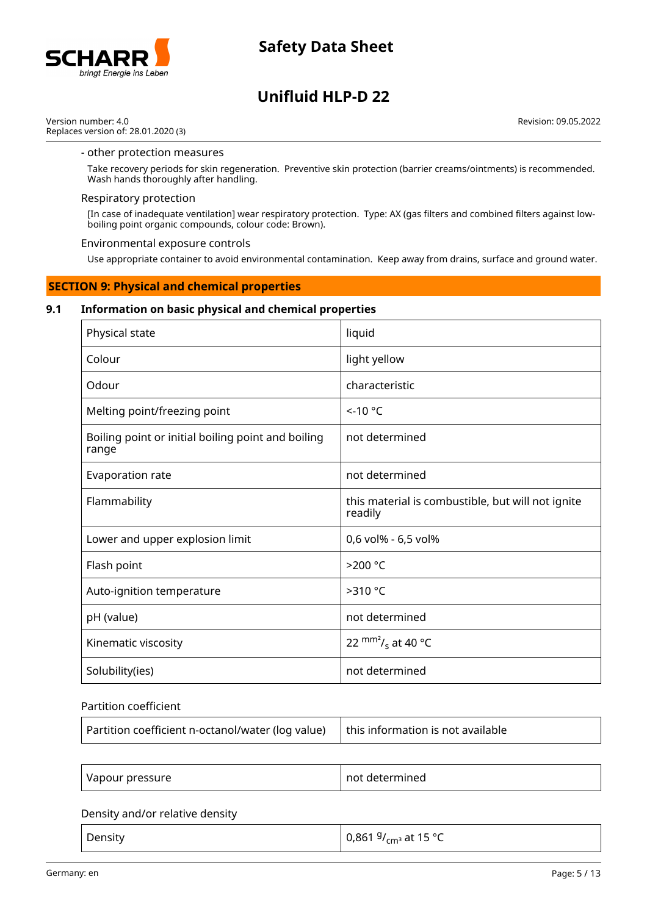

# **Unifluid HLP-D 22**

Version number: 4.0 Replaces version of: 28.01.2020 (3) Revision: 09.05.2022

### - other protection measures

Take recovery periods for skin regeneration. Preventive skin protection (barrier creams/ointments) is recommended. Wash hands thoroughly after handling.

### Respiratory protection

[In case of inadequate ventilation] wear respiratory protection. Type: AX (gas filters and combined filters against lowboiling point organic compounds, colour code: Brown).

### Environmental exposure controls

Use appropriate container to avoid environmental contamination. Keep away from drains, surface and ground water.

### **SECTION 9: Physical and chemical properties**

### **9.1 Information on basic physical and chemical properties**

| Physical state                                              | liquid                                                       |
|-------------------------------------------------------------|--------------------------------------------------------------|
| Colour                                                      | light yellow                                                 |
| Odour                                                       | characteristic                                               |
| Melting point/freezing point                                | $<$ -10 °C                                                   |
| Boiling point or initial boiling point and boiling<br>range | not determined                                               |
| Evaporation rate                                            | not determined                                               |
| Flammability                                                | this material is combustible, but will not ignite<br>readily |
| Lower and upper explosion limit                             | 0,6 vol% - 6,5 vol%                                          |
| Flash point                                                 | >200 °C                                                      |
| Auto-ignition temperature                                   | >310 °C                                                      |
| pH (value)                                                  | not determined                                               |
| Kinematic viscosity                                         | 22 $\text{mm}^2$ / <sub>s</sub> at 40 °C                     |
| Solubility(ies)                                             | not determined                                               |

### Partition coefficient

| Partition coefficient n-octanol/water (log value)   this information is not available |  |
|---------------------------------------------------------------------------------------|--|
|                                                                                       |  |

| Vapour pressure | not determined |
|-----------------|----------------|
|-----------------|----------------|

### Density and/or relative density

| Density | <sup>∣</sup> 0,861 <sup>g</sup> / <sub>cmª</sub> at 15 °C |
|---------|-----------------------------------------------------------|
|---------|-----------------------------------------------------------|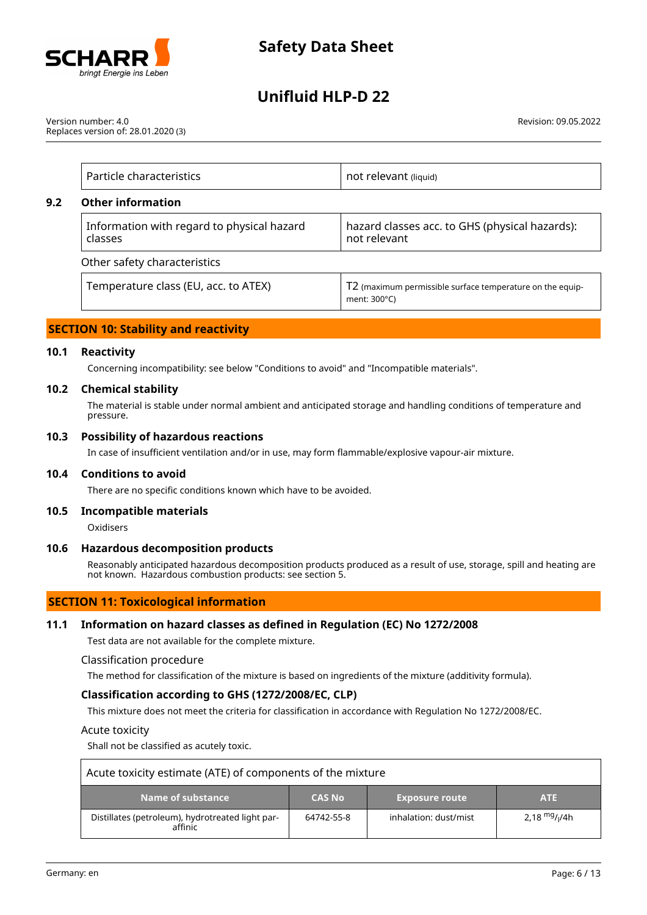

Version number: 4.0 Replaces version of: 28.01.2020 (3) Revision: 09.05.2022

| Particle characteristics                              | not relevant (liquid)                                                               |
|-------------------------------------------------------|-------------------------------------------------------------------------------------|
| <b>Other information</b>                              |                                                                                     |
| Information with regard to physical hazard<br>classes | hazard classes acc. to GHS (physical hazards):<br>not relevant                      |
| Other safety characteristics                          |                                                                                     |
| Temperature class (EU, acc. to ATEX)                  | T2 (maximum permissible surface temperature on the equip-<br>ment: $300^{\circ}$ C) |

## **SECTION 10: Stability and reactivity**

### **10.1 Reactivity**

**9.2 Other information**

Concerning incompatibility: see below "Conditions to avoid" and "Incompatible materials".

### **10.2 Chemical stability**

The material is stable under normal ambient and anticipated storage and handling conditions of temperature and pressure.

### **10.3 Possibility of hazardous reactions**

In case of insufficient ventilation and/or in use, may form flammable/explosive vapour-air mixture.

### **10.4 Conditions to avoid**

There are no specific conditions known which have to be avoided.

### **10.5 Incompatible materials**

Oxidisers

### **10.6 Hazardous decomposition products**

Reasonably anticipated hazardous decomposition products produced as a result of use, storage, spill and heating are not known. Hazardous combustion products: see section 5.

### **SECTION 11: Toxicological information**

### **11.1 Information on hazard classes as defined in Regulation (EC) No 1272/2008**

Test data are not available for the complete mixture.

Classification procedure

The method for classification of the mixture is based on ingredients of the mixture (additivity formula).

### **Classification according to GHS (1272/2008/EC, CLP)**

This mixture does not meet the criteria for classification in accordance with Regulation No 1272/2008/EC.

### Acute toxicity

Shall not be classified as acutely toxic.

| Acute toxicity estimate (ATE) of components of the mixture  |               |                       |                   |  |  |
|-------------------------------------------------------------|---------------|-----------------------|-------------------|--|--|
| Name of substance                                           | <b>CAS No</b> | <b>Exposure route</b> | <b>ATE</b>        |  |  |
| Distillates (petroleum), hydrotreated light par-<br>affinic | 64742-55-8    | inhalation: dust/mist | 2.18 $mg$ / $/4h$ |  |  |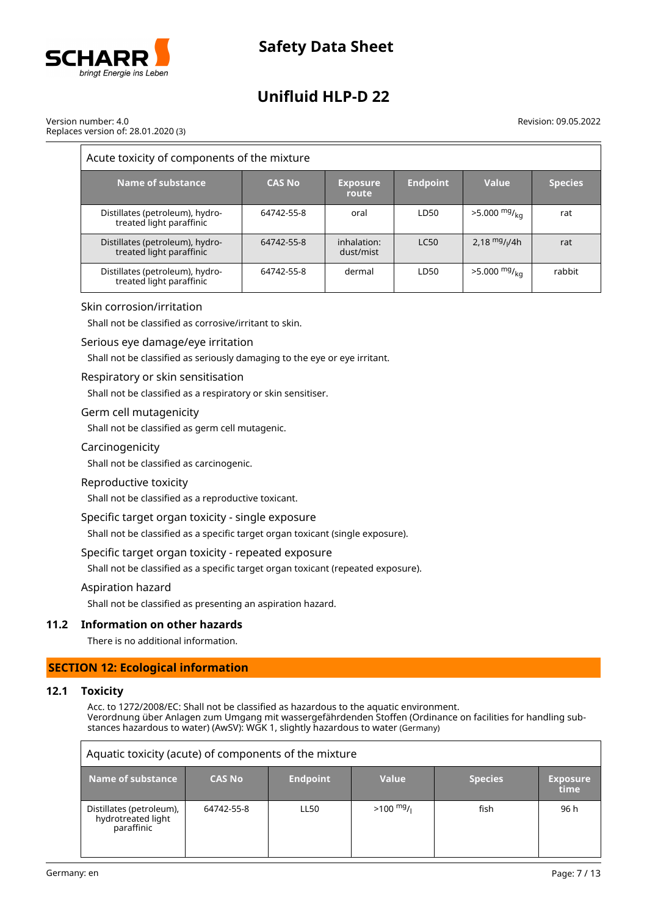

Version number: 4.0 Replaces version of: 28.01.2020 (3) Revision: 09.05.2022

| Acute toxicity of components of the mixture                 |               |                          |                 |                            |                |  |
|-------------------------------------------------------------|---------------|--------------------------|-----------------|----------------------------|----------------|--|
| Name of substance                                           | <b>CAS No</b> | <b>Exposure</b><br>route | <b>Endpoint</b> | Value                      | <b>Species</b> |  |
| Distillates (petroleum), hydro-<br>treated light paraffinic | 64742-55-8    | oral                     | LD50            | $>5.000$ mg/ <sub>ka</sub> | rat            |  |
| Distillates (petroleum), hydro-<br>treated light paraffinic | 64742-55-8    | inhalation:<br>dust/mist | <b>LC50</b>     | 2.18 $mg/1/4h$             | rat            |  |
| Distillates (petroleum), hydro-<br>treated light paraffinic | 64742-55-8    | dermal                   | LD50            | $>5.000$ mg/ <sub>ka</sub> | rabbit         |  |

### Skin corrosion/irritation

Shall not be classified as corrosive/irritant to skin.

### Serious eye damage/eye irritation

Shall not be classified as seriously damaging to the eye or eye irritant.

### Respiratory or skin sensitisation

Shall not be classified as a respiratory or skin sensitiser.

### Germ cell mutagenicity

Shall not be classified as germ cell mutagenic.

### Carcinogenicity

Shall not be classified as carcinogenic.

### Reproductive toxicity

Shall not be classified as a reproductive toxicant.

### Specific target organ toxicity - single exposure

Shall not be classified as a specific target organ toxicant (single exposure).

### Specific target organ toxicity - repeated exposure

Shall not be classified as a specific target organ toxicant (repeated exposure).

### Aspiration hazard

Shall not be classified as presenting an aspiration hazard.

### **11.2 Information on other hazards**

There is no additional information.

### **SECTION 12: Ecological information**

### **12.1 Toxicity**

Acc. to 1272/2008/EC: Shall not be classified as hazardous to the aquatic environment. Verordnung über Anlagen zum Umgang mit wassergefährdenden Stoffen (Ordinance on facilities for handling substances hazardous to water) (AwSV): WGK 1, slightly hazardous to water (Germany)

| Aquatic toxicity (acute) of components of the mixture        |               |                 |                     |                |                         |  |
|--------------------------------------------------------------|---------------|-----------------|---------------------|----------------|-------------------------|--|
| Name of substance                                            | <b>CAS No</b> | <b>Endpoint</b> | <b>Value</b>        | <b>Species</b> | <b>Exposure</b><br>time |  |
| Distillates (petroleum),<br>hydrotreated light<br>paraffinic | 64742-55-8    | LL50            | $>100 \frac{mg}{l}$ | fish           | 96 h                    |  |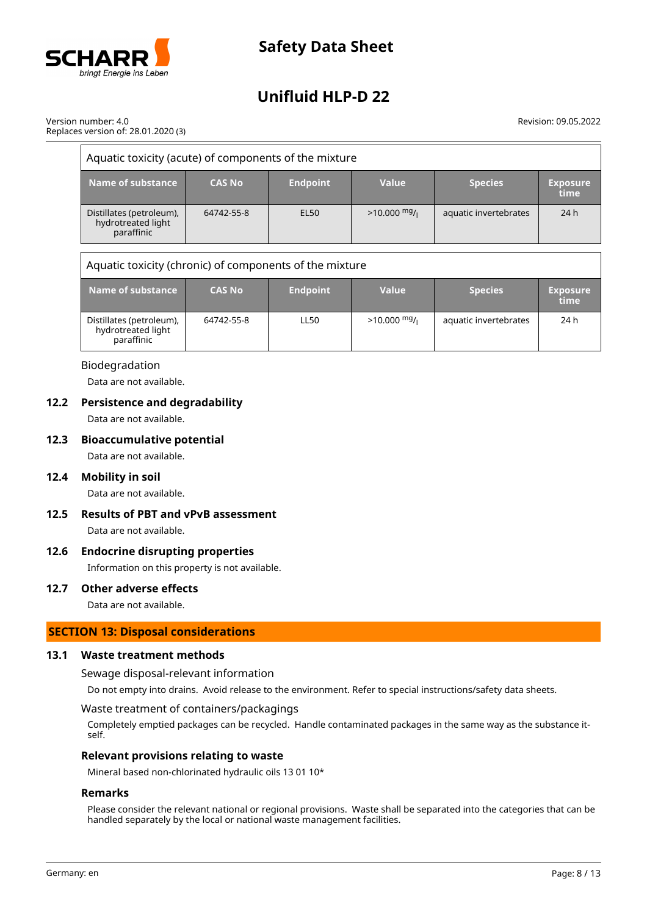

Version number: 4.0 Replaces version of: 28.01.2020 (3) Revision: 09.05.2022

| Aquatic toxicity (acute) of components of the mixture        |               |                 |               |                       |                         |
|--------------------------------------------------------------|---------------|-----------------|---------------|-----------------------|-------------------------|
| Name of substance                                            | <b>CAS No</b> | <b>Endpoint</b> | Value         | <b>Species</b>        | <b>Exposure</b><br>time |
| Distillates (petroleum),<br>hydrotreated light<br>paraffinic | 64742-55-8    | EL50            | $>10.000$ mg/ | aquatic invertebrates | 24h                     |

Aquatic toxicity (chronic) of components of the mixture

| Name of substance                                            | <b>CAS No</b> | <b>Endpoint</b> | <b>Value</b>   | <b>Species</b>        | <b>Exposure</b><br>time |
|--------------------------------------------------------------|---------------|-----------------|----------------|-----------------------|-------------------------|
| Distillates (petroleum),<br>hydrotreated light<br>paraffinic | 64742-55-8    | <b>LL50</b>     | $>10.000$ mg/i | aquatic invertebrates | 24 h                    |

### Biodegradation

Data are not available.

### **12.2 Persistence and degradability**

Data are not available.

### **12.3 Bioaccumulative potential**

Data are not available.

### **12.4 Mobility in soil**

Data are not available.

# **12.5 Results of PBT and vPvB assessment**

Data are not available.

# **12.6 Endocrine disrupting properties**

Information on this property is not available.

## **12.7 Other adverse effects**

Data are not available.

## **SECTION 13: Disposal considerations**

### **13.1 Waste treatment methods**

Sewage disposal-relevant information

Do not empty into drains. Avoid release to the environment. Refer to special instructions/safety data sheets.

### Waste treatment of containers/packagings

Completely emptied packages can be recycled. Handle contaminated packages in the same way as the substance itself.

### **Relevant provisions relating to waste**

Mineral based non-chlorinated hydraulic oils 13 01 10\*

### **Remarks**

Please consider the relevant national or regional provisions. Waste shall be separated into the categories that can be handled separately by the local or national waste management facilities.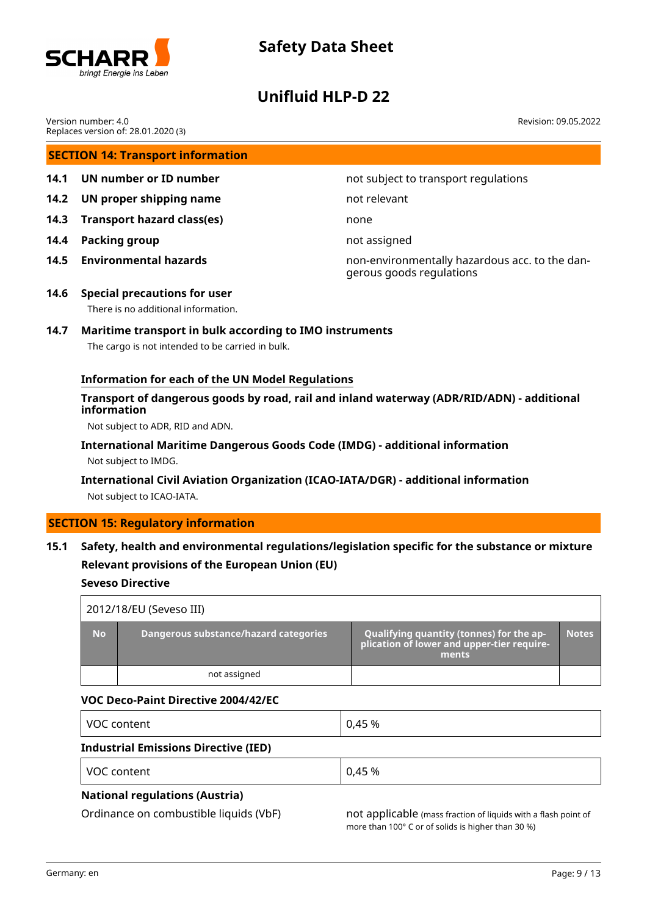

## **Unifluid HLP-D 22**

Revision: 09.05.2022

Version number: 4.0 Replaces version of: 28.01.2020 (3)

## **SECTION 14: Transport information**

- 
- **14.2 UN proper shipping name** not relevant
- **14.3 Transport hazard class(es)** none
- **14.4 Packing group not assigned not assigned**
- 

**14.1 UN number or ID number 12.1 14.1 UN number not subject to transport regulations** 

**14.5 Environmental hazards** non-environmentally hazardous acc. to the dangerous goods regulations

**14.6 Special precautions for user** There is no additional information.

## **14.7 Maritime transport in bulk according to IMO instruments**

The cargo is not intended to be carried in bulk.

### **Information for each of the UN Model Regulations**

### **Transport of dangerous goods by road, rail and inland waterway (ADR/RID/ADN) - additional information**

Not subject to ADR, RID and ADN.

### **International Maritime Dangerous Goods Code (IMDG) - additional information** Not subject to IMDG.

## **International Civil Aviation Organization (ICAO-IATA/DGR) - additional information** Not subject to ICAO-IATA.

# **SECTION 15: Regulatory information**

## **15.1 Safety, health and environmental regulations/legislation specific for the substance or mixture Relevant provisions of the European Union (EU)**

### **Seveso Directive**

|           | 2012/18/EU (Seveso III)               |                                                                                                 |              |
|-----------|---------------------------------------|-------------------------------------------------------------------------------------------------|--------------|
| <b>No</b> | Dangerous substance/hazard categories | Qualifying quantity (tonnes) for the ap-<br>plication of lower and upper-tier require-<br>ments | <b>Notes</b> |
|           | not assigned                          |                                                                                                 |              |

### **VOC Deco-Paint Directive 2004/42/EC**

| VOC content                                 | 0,45 % |
|---------------------------------------------|--------|
| <b>Industrial Emissions Directive (IED)</b> |        |

| <b>VOC</b><br>`∩n<br>tent ו<br>. | 45 % |
|----------------------------------|------|
|                                  |      |

## **National regulations (Austria)**

Ordinance on combustible liquids (VbF) not applicable (mass fraction of liquids with a flash point of more than 100° C or of solids is higher than 30 %)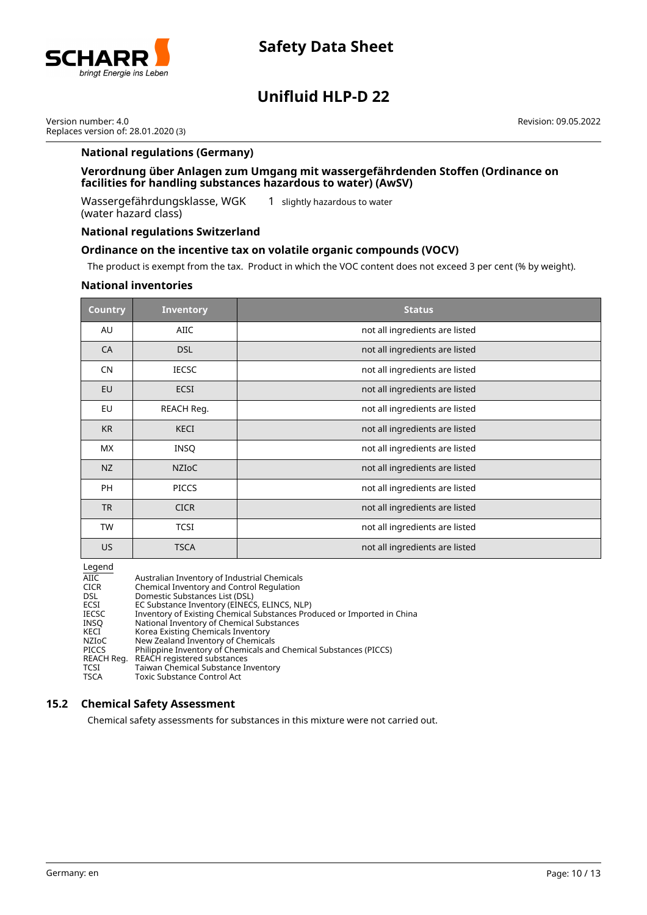

# **Unifluid HLP-D 22**

Version number: 4.0 Replaces version of: 28.01.2020 (3) Revision: 09.05.2022

### **National regulations (Germany)**

### **Verordnung über Anlagen zum Umgang mit wassergefährdenden Stoffen (Ordinance on facilities for handling substances hazardous to water) (AwSV)**

Wassergefährdungsklasse, WGK (water hazard class)

1 slightly hazardous to water

### **National regulations Switzerland**

### **Ordinance on the incentive tax on volatile organic compounds (VOCV)**

The product is exempt from the tax. Product in which the VOC content does not exceed 3 per cent (% by weight).

### **National inventories**

| <b>Country</b> | <b>Inventory</b> | <b>Status</b>                  |
|----------------|------------------|--------------------------------|
| AU             | <b>AIIC</b>      | not all ingredients are listed |
| CA             | <b>DSL</b>       | not all ingredients are listed |
| <b>CN</b>      | <b>IECSC</b>     | not all ingredients are listed |
| EU             | <b>ECSI</b>      | not all ingredients are listed |
| <b>EU</b>      | REACH Reg.       | not all ingredients are listed |
| <b>KR</b>      | <b>KECI</b>      | not all ingredients are listed |
| <b>MX</b>      | INSQ             | not all ingredients are listed |
| NZ             | <b>NZIOC</b>     | not all ingredients are listed |
| <b>PH</b>      | <b>PICCS</b>     | not all ingredients are listed |
| <b>TR</b>      | <b>CICR</b>      | not all ingredients are listed |
| <b>TW</b>      | <b>TCSI</b>      | not all ingredients are listed |
| US.            | <b>TSCA</b>      | not all ingredients are listed |

Legend

| AIIC         | Australian Inventory of Industrial Chemicals                            |
|--------------|-------------------------------------------------------------------------|
| <b>CICR</b>  | Chemical Inventory and Control Regulation                               |
| <b>DSL</b>   | Domestic Substances List (DSL)                                          |
| ECSI         | EC Substance Inventory (EINECS, ELINCS, NLP)                            |
| <b>IECSC</b> | Inventory of Existing Chemical Substances Produced or Imported in China |
| INSO         | National Inventory of Chemical Substances                               |
| KECI         | Korea Existing Chemicals Inventory                                      |
| NZIoC        | New Zealand Inventory of Chemicals                                      |
| <b>PICCS</b> | Philippine Inventory of Chemicals and Chemical Substances (PICCS)       |
| REACH Reg.   | REACH registered substances                                             |
| TCSI         | Taiwan Chemical Substance Inventory                                     |
| <b>TSCA</b>  | Toxic Substance Control Act                                             |

### **15.2 Chemical Safety Assessment**

Chemical safety assessments for substances in this mixture were not carried out.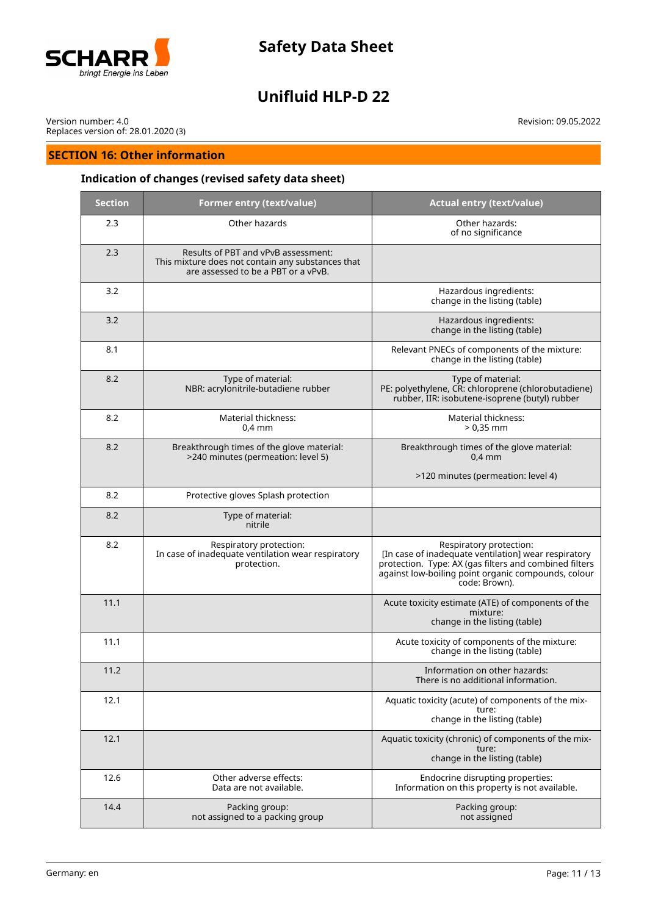

# **Unifluid HLP-D 22**

Version number: 4.0 Replaces version of: 28.01.2020 (3)

## **SECTION 16: Other information**

## **Indication of changes (revised safety data sheet)**

| <b>Section</b> | Former entry (text/value)                                                                                                       | <b>Actual entry (text/value)</b>                                                                                                                                                                                  |  |
|----------------|---------------------------------------------------------------------------------------------------------------------------------|-------------------------------------------------------------------------------------------------------------------------------------------------------------------------------------------------------------------|--|
| 2.3            | Other hazards                                                                                                                   | Other hazards:<br>of no significance                                                                                                                                                                              |  |
| 2.3            | Results of PBT and vPvB assessment:<br>This mixture does not contain any substances that<br>are assessed to be a PBT or a vPvB. |                                                                                                                                                                                                                   |  |
| 3.2            |                                                                                                                                 | Hazardous ingredients:<br>change in the listing (table)                                                                                                                                                           |  |
| 3.2            |                                                                                                                                 | Hazardous ingredients:<br>change in the listing (table)                                                                                                                                                           |  |
| 8.1            |                                                                                                                                 | Relevant PNECs of components of the mixture:<br>change in the listing (table)                                                                                                                                     |  |
| 8.2            | Type of material:<br>NBR: acrylonitrile-butadiene rubber                                                                        | Type of material:<br>PE: polyethylene, CR: chloroprene (chlorobutadiene)<br>rubber, IIR: isobutene-isoprene (butyl) rubber                                                                                        |  |
| 8.2            | Material thickness:<br>$0,4$ mm                                                                                                 | Material thickness:<br>$> 0.35$ mm                                                                                                                                                                                |  |
| 8.2            | Breakthrough times of the glove material:<br>>240 minutes (permeation: level 5)                                                 | Breakthrough times of the glove material:<br>$0.4$ mm                                                                                                                                                             |  |
|                |                                                                                                                                 | >120 minutes (permeation: level 4)                                                                                                                                                                                |  |
| 8.2            | Protective gloves Splash protection                                                                                             |                                                                                                                                                                                                                   |  |
| 8.2            | Type of material:<br>nitrile                                                                                                    |                                                                                                                                                                                                                   |  |
| 8.2            | Respiratory protection:<br>In case of inadequate ventilation wear respiratory<br>protection.                                    | Respiratory protection:<br>[In case of inadequate ventilation] wear respiratory<br>protection. Type: AX (gas filters and combined filters<br>against low-boiling point organic compounds, colour<br>code: Brown). |  |
| 11.1           |                                                                                                                                 | Acute toxicity estimate (ATE) of components of the<br>mixture:<br>change in the listing (table)                                                                                                                   |  |
| 11.1           |                                                                                                                                 | Acute toxicity of components of the mixture:<br>change in the listing (table)                                                                                                                                     |  |
| 11.2           |                                                                                                                                 | Information on other hazards:<br>There is no additional information.                                                                                                                                              |  |
| 12.1           |                                                                                                                                 | Aquatic toxicity (acute) of components of the mix-<br>ture:<br>change in the listing (table)                                                                                                                      |  |
| 12.1           |                                                                                                                                 | Aquatic toxicity (chronic) of components of the mix-<br>ture:<br>change in the listing (table)                                                                                                                    |  |
| 12.6           | Other adverse effects:<br>Data are not available.                                                                               | Endocrine disrupting properties:<br>Information on this property is not available.                                                                                                                                |  |
| 14.4           | Packing group:<br>not assigned to a packing group                                                                               | Packing group:<br>not assigned                                                                                                                                                                                    |  |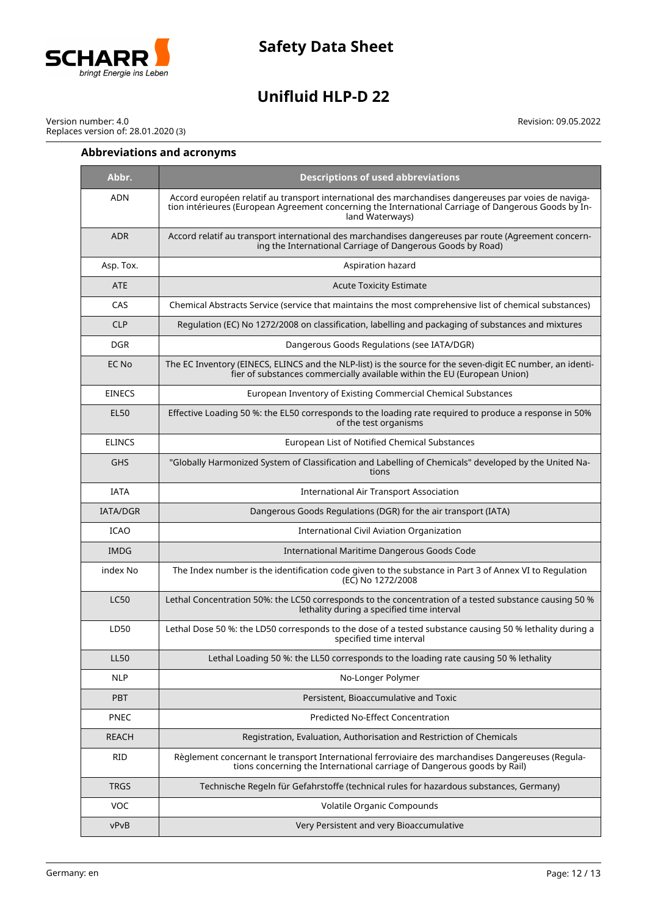

# **Unifluid HLP-D 22**

Version number: 4.0 Replaces version of: 28.01.2020 (3)

### **Abbreviations and acronyms**

**Abbr. Descriptions of used abbreviations** ADN Accord européen relatif au transport international des marchandises dangereuses par voies de navigation intérieures (European Agreement concerning the International Carriage of Dangerous Goods by Inland Waterways) ADR Accord relatif au transport international des marchandises dangereuses par route (Agreement concerning the International Carriage of Dangerous Goods by Road) Asp. Tox. **Asp. Tox.** Aspiration hazard ATE ATE Acute Toxicity Estimate CAS Chemical Abstracts Service (service that maintains the most comprehensive list of chemical substances) CLP Regulation (EC) No 1272/2008 on classification, labelling and packaging of substances and mixtures DGR Dangerous Goods Regulations (see IATA/DGR) EC No The EC Inventory (EINECS, ELINCS and the NLP-list) is the source for the seven-digit EC number, an identifier of substances commercially available within the EU (European Union) EINECS European Inventory of Existing Commercial Chemical Substances EL50 Effective Loading 50 %: the EL50 corresponds to the loading rate required to produce a response in 50% of the test organisms ELINCS European List of Notified Chemical Substances GHS "Globally Harmonized System of Classification and Labelling of Chemicals" developed by the United Nations IATA International Air Transport Association IATA/DGR Dangerous Goods Regulations (DGR) for the air transport (IATA) ICAO International Civil Aviation Organization IMDG **IMDG International Maritime Dangerous Goods Code** index No **The Index number is the identification code given to the substance in Part 3 of Annex VI to Regulation** (EC) No 1272/2008 LC50 Lethal Concentration 50%: the LC50 corresponds to the concentration of a tested substance causing 50 % lethality during a specified time interval LD50 Lethal Dose 50 %: the LD50 corresponds to the dose of a tested substance causing 50 % lethality during a specified time interval LL50 Lethal Loading 50 %: the LL50 corresponds to the loading rate causing 50 % lethality NLP | No-Longer Polymer PBT Persistent, Bioaccumulative and Toxic PNEC Predicted No-Effect Concentration REACH REACH Registration, Evaluation, Authorisation and Restriction of Chemicals RID Règlement concernant le transport International ferroviaire des marchandises Dangereuses (Regulations concerning the International carriage of Dangerous goods by Rail) TRGS Technische Regeln für Gefahrstoffe (technical rules for hazardous substances, Germany) VOC Volatile Organic Compounds vPvB Very Persistent and very Bioaccumulative

Revision: 09.05.2022